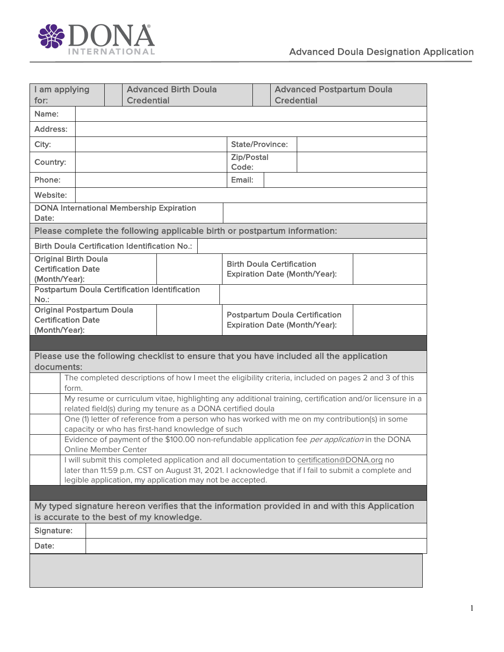

| I am applying<br>for:                                                                                                                              |  |  | <b>Advanced Birth Doula</b><br><b>Credential</b> |                                                                               |                            | <b>Advanced Postpartum Doula</b><br><b>Credential</b> |  |  |  |
|----------------------------------------------------------------------------------------------------------------------------------------------------|--|--|--------------------------------------------------|-------------------------------------------------------------------------------|----------------------------|-------------------------------------------------------|--|--|--|
| Name:                                                                                                                                              |  |  |                                                  |                                                                               |                            |                                                       |  |  |  |
| Address:                                                                                                                                           |  |  |                                                  |                                                                               |                            |                                                       |  |  |  |
| City:                                                                                                                                              |  |  | <b>State/Province:</b>                           |                                                                               |                            |                                                       |  |  |  |
| Country:                                                                                                                                           |  |  |                                                  |                                                                               | <b>Zip/Postal</b><br>Code: |                                                       |  |  |  |
| Phone:                                                                                                                                             |  |  |                                                  |                                                                               | Email:                     |                                                       |  |  |  |
| Website:                                                                                                                                           |  |  |                                                  |                                                                               |                            |                                                       |  |  |  |
| <b>DONA International Membership Expiration</b><br>Date:                                                                                           |  |  |                                                  |                                                                               |                            |                                                       |  |  |  |
| Please complete the following applicable birth or postpartum information:                                                                          |  |  |                                                  |                                                                               |                            |                                                       |  |  |  |
| <b>Birth Doula Certification Identification No.:</b>                                                                                               |  |  |                                                  |                                                                               |                            |                                                       |  |  |  |
| <b>Original Birth Doula</b><br><b>Certification Date</b><br>(Month/Year):                                                                          |  |  |                                                  | <b>Birth Doula Certification</b><br><b>Expiration Date (Month/Year):</b>      |                            |                                                       |  |  |  |
| <b>Postpartum Doula Certification Identification</b><br>No.:                                                                                       |  |  |                                                  |                                                                               |                            |                                                       |  |  |  |
| <b>Original Postpartum Doula</b>                                                                                                                   |  |  |                                                  |                                                                               |                            |                                                       |  |  |  |
| <b>Certification Date</b>                                                                                                                          |  |  |                                                  | <b>Postpartum Doula Certification</b><br><b>Expiration Date (Month/Year):</b> |                            |                                                       |  |  |  |
| (Month/Year):                                                                                                                                      |  |  |                                                  |                                                                               |                            |                                                       |  |  |  |
|                                                                                                                                                    |  |  |                                                  |                                                                               |                            |                                                       |  |  |  |
| Please use the following checklist to ensure that you have included all the application<br>documents:                                              |  |  |                                                  |                                                                               |                            |                                                       |  |  |  |
| The completed descriptions of how I meet the eligibility criteria, included on pages 2 and 3 of this                                               |  |  |                                                  |                                                                               |                            |                                                       |  |  |  |
| form.<br>My resume or curriculum vitae, highlighting any additional training, certification and/or licensure in a                                  |  |  |                                                  |                                                                               |                            |                                                       |  |  |  |
| related field(s) during my tenure as a DONA certified doula                                                                                        |  |  |                                                  |                                                                               |                            |                                                       |  |  |  |
| One (1) letter of reference from a person who has worked with me on my contribution(s) in some<br>capacity or who has first-hand knowledge of such |  |  |                                                  |                                                                               |                            |                                                       |  |  |  |
| Evidence of payment of the \$100.00 non-refundable application fee per application in the DONA                                                     |  |  |                                                  |                                                                               |                            |                                                       |  |  |  |
| <b>Online Member Center</b><br>I will submit this completed application and all documentation to certification@DONA.org no                         |  |  |                                                  |                                                                               |                            |                                                       |  |  |  |
| later than 11:59 p.m. CST on August 31, 2021. I acknowledge that if I fail to submit a complete and                                                |  |  |                                                  |                                                                               |                            |                                                       |  |  |  |
| legible application, my application may not be accepted.                                                                                           |  |  |                                                  |                                                                               |                            |                                                       |  |  |  |
|                                                                                                                                                    |  |  |                                                  |                                                                               |                            |                                                       |  |  |  |
| My typed signature hereon verifies that the information provided in and with this Application<br>is accurate to the best of my knowledge.          |  |  |                                                  |                                                                               |                            |                                                       |  |  |  |
| Signature:                                                                                                                                         |  |  |                                                  |                                                                               |                            |                                                       |  |  |  |
| Date:                                                                                                                                              |  |  |                                                  |                                                                               |                            |                                                       |  |  |  |
|                                                                                                                                                    |  |  |                                                  |                                                                               |                            |                                                       |  |  |  |
|                                                                                                                                                    |  |  |                                                  |                                                                               |                            |                                                       |  |  |  |
|                                                                                                                                                    |  |  |                                                  |                                                                               |                            |                                                       |  |  |  |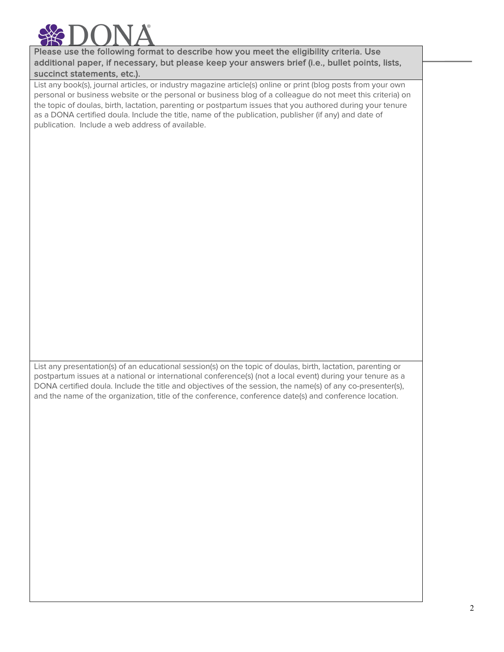

Please use the following format to describe how you meet the eligibility criteria. Use additional paper, if necessary, but please keep your answers brief (i.e., bullet points, lists, succinct statements, etc.).

List any book(s), journal articles, or industry magazine article(s) online or print (blog posts from your own personal or business website or the personal or business blog of a colleague do not meet this criteria) on the topic of doulas, birth, lactation, parenting or postpartum issues that you authored during your tenure as a DONA certified doula. Include the title, name of the publication, publisher (if any) and date of publication. Include a web address of available.

List any presentation(s) of an educational session(s) on the topic of doulas, birth, lactation, parenting or postpartum issues at a national or international conference(s) (not a local event) during your tenure as a DONA certified doula. Include the title and objectives of the session, the name(s) of any co-presenter(s), and the name of the organization, title of the conference, conference date(s) and conference location.